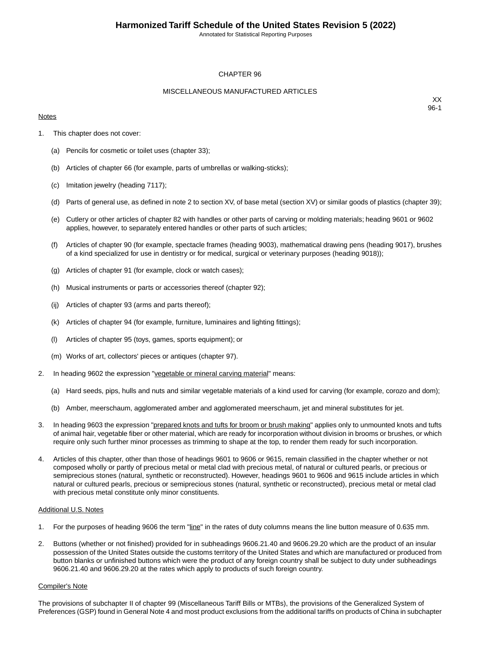Annotated for Statistical Reporting Purposes

#### CHAPTER 96

#### MISCELLANEOUS MANUFACTURED ARTICLES

#### **Notes**

XX 96-1

- 1. This chapter does not cover:
	- (a) Pencils for cosmetic or toilet uses (chapter 33);
	- (b) Articles of chapter 66 (for example, parts of umbrellas or walking-sticks);
	- (c) Imitation jewelry (heading 7117);
	- (d) Parts of general use, as defined in note 2 to section XV, of base metal (section XV) or similar goods of plastics (chapter 39);
	- (e) Cutlery or other articles of chapter 82 with handles or other parts of carving or molding materials; heading 9601 or 9602 applies, however, to separately entered handles or other parts of such articles;
	- (f) Articles of chapter 90 (for example, spectacle frames (heading 9003), mathematical drawing pens (heading 9017), brushes of a kind specialized for use in dentistry or for medical, surgical or veterinary purposes (heading 9018));
	- (g) Articles of chapter 91 (for example, clock or watch cases);
	- (h) Musical instruments or parts or accessories thereof (chapter 92);
	- (ij) Articles of chapter 93 (arms and parts thereof);
	- (k) Articles of chapter 94 (for example, furniture, luminaires and lighting fittings);
	- (l) Articles of chapter 95 (toys, games, sports equipment); or
	- (m) Works of art, collectors' pieces or antiques (chapter 97).
- 2. In heading 9602 the expression "vegetable or mineral carving material" means:
	- (a) Hard seeds, pips, hulls and nuts and similar vegetable materials of a kind used for carving (for example, corozo and dom);
	- (b) Amber, meerschaum, agglomerated amber and agglomerated meerschaum, jet and mineral substitutes for jet.
- 3. In heading 9603 the expression "prepared knots and tufts for broom or brush making" applies only to unmounted knots and tufts of animal hair, vegetable fiber or other material, which are ready for incorporation without division in brooms or brushes, or which require only such further minor processes as trimming to shape at the top, to render them ready for such incorporation.
- 4. Articles of this chapter, other than those of headings 9601 to 9606 or 9615, remain classified in the chapter whether or not composed wholly or partly of precious metal or metal clad with precious metal, of natural or cultured pearls, or precious or semiprecious stones (natural, synthetic or reconstructed). However, headings 9601 to 9606 and 9615 include articles in which natural or cultured pearls, precious or semiprecious stones (natural, synthetic or reconstructed), precious metal or metal clad with precious metal constitute only minor constituents.

#### Additional U.S. Notes

- 1. For the purposes of heading 9606 the term "line" in the rates of duty columns means the line button measure of 0.635 mm.
- 2. Buttons (whether or not finished) provided for in subheadings 9606.21.40 and 9606.29.20 which are the product of an insular possession of the United States outside the customs territory of the United States and which are manufactured or produced from button blanks or unfinished buttons which were the product of any foreign country shall be subject to duty under subheadings 9606.21.40 and 9606.29.20 at the rates which apply to products of such foreign country.

#### Compiler's Note

The provisions of subchapter II of chapter 99 (Miscellaneous Tariff Bills or MTBs), the provisions of the Generalized System of Preferences (GSP) found in General Note 4 and most product exclusions from the additional tariffs on products of China in subchapter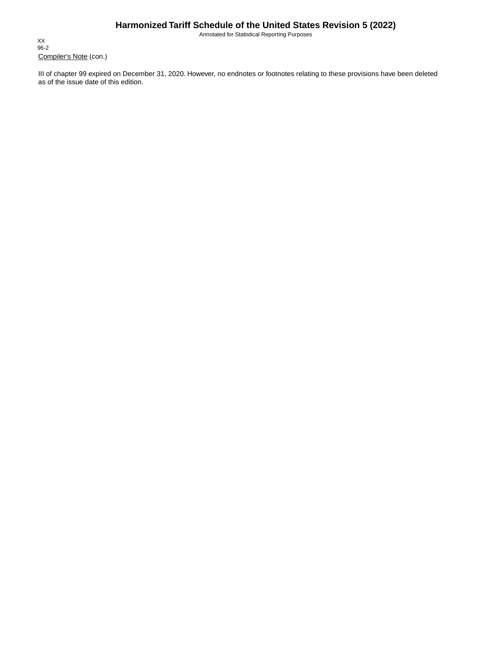Annotated for Statistical Reporting Purposes

Compiler's Note (con.) XX 96-2

III of chapter 99 expired on December 31, 2020. However, no endnotes or footnotes relating to these provisions have been deleted as of the issue date of this edition.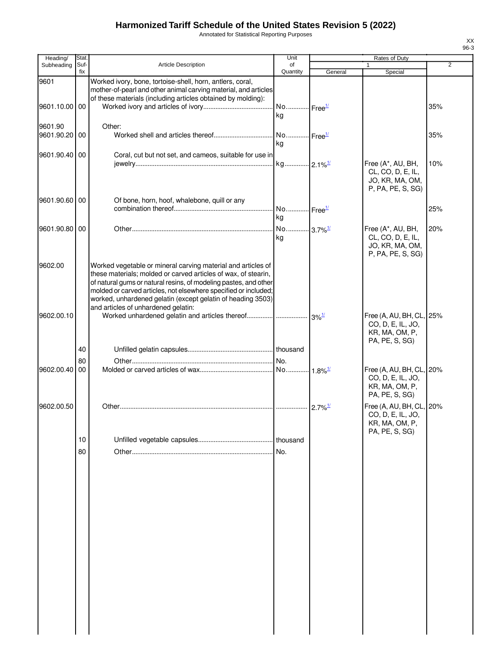Annotated for Statistical Reporting Purposes

| Heading/                 | Stat.       |                                                                                                                                                                                                                                                                                                                                                                             | Unit                        |                       | Rates of Duty                                                                     |                |
|--------------------------|-------------|-----------------------------------------------------------------------------------------------------------------------------------------------------------------------------------------------------------------------------------------------------------------------------------------------------------------------------------------------------------------------------|-----------------------------|-----------------------|-----------------------------------------------------------------------------------|----------------|
| Subheading               | Suf-<br>fix | <b>Article Description</b>                                                                                                                                                                                                                                                                                                                                                  | of<br>Quantity              | General               | Special                                                                           | $\overline{2}$ |
| 9601                     |             | Worked ivory, bone, tortoise-shell, horn, antlers, coral,<br>mother-of-pearl and other animal carving material, and articles<br>of these materials (including articles obtained by molding):                                                                                                                                                                                |                             |                       |                                                                                   |                |
| 9601.10.00 00            |             |                                                                                                                                                                                                                                                                                                                                                                             | No Free <sup>1/</sup><br>kg |                       |                                                                                   | 35%            |
| 9601.90<br>9601.90.20 00 |             | Other:                                                                                                                                                                                                                                                                                                                                                                      | No Free <sup>1/</sup><br>kg |                       |                                                                                   | 35%            |
| 9601.90.40 00            |             | Coral, cut but not set, and cameos, suitable for use in                                                                                                                                                                                                                                                                                                                     | kg 2.1% <sup>1/</sup>       |                       | Free (A*, AU, BH,<br>CL, CO, D, E, IL,<br>JO, KR, MA, OM,<br>P, PA, PE, S, SG)    | 10%            |
| 9601.90.60 00            |             | Of bone, horn, hoof, whalebone, quill or any                                                                                                                                                                                                                                                                                                                                | No Free <sup>1/</sup><br>kg |                       |                                                                                   | 25%            |
| 9601.90.80 00            |             |                                                                                                                                                                                                                                                                                                                                                                             | No 3.7% <sup>1/</sup><br>kg |                       | Free (A*, AU, BH,<br>CL, CO, D, E, IL,<br>JO, KR, MA, OM,<br>P, PA, PE, S, SG)    | 20%            |
| 9602.00                  |             | Worked vegetable or mineral carving material and articles of<br>these materials; molded or carved articles of wax, of stearin,<br>of natural gums or natural resins, of modeling pastes, and other<br>molded or carved articles, not elsewhere specified or included;<br>worked, unhardened gelatin (except gelatin of heading 3503)<br>and articles of unhardened gelatin: |                             |                       |                                                                                   |                |
| 9602.00.10               |             |                                                                                                                                                                                                                                                                                                                                                                             |                             |                       | Free (A, AU, BH, CL, 25%<br>CO, D, E, IL, JO,<br>KR, MA, OM, P,<br>PA, PE, S, SG) |                |
|                          | 40          |                                                                                                                                                                                                                                                                                                                                                                             |                             |                       |                                                                                   |                |
| 9602.00.40 00            | 80          |                                                                                                                                                                                                                                                                                                                                                                             |                             |                       | Free (A, AU, BH, CL, 20%<br>CO, D, E, IL, JO,<br>KR, MA, OM, P,<br>PA, PE, S, SG) |                |
| 9602.00.50               |             |                                                                                                                                                                                                                                                                                                                                                                             |                             | $2.7\%$ <sup>1/</sup> | Free (A, AU, BH, CL, 20%<br>CO, D, E, IL, JO,<br>KR, MA, OM, P,                   |                |
|                          | 10          |                                                                                                                                                                                                                                                                                                                                                                             | thousand                    |                       | PA, PE, S, SG)                                                                    |                |
|                          | 80          |                                                                                                                                                                                                                                                                                                                                                                             | .lNo.                       |                       |                                                                                   |                |
|                          |             |                                                                                                                                                                                                                                                                                                                                                                             |                             |                       |                                                                                   |                |
|                          |             |                                                                                                                                                                                                                                                                                                                                                                             |                             |                       |                                                                                   |                |
|                          |             |                                                                                                                                                                                                                                                                                                                                                                             |                             |                       |                                                                                   |                |
|                          |             |                                                                                                                                                                                                                                                                                                                                                                             |                             |                       |                                                                                   |                |
|                          |             |                                                                                                                                                                                                                                                                                                                                                                             |                             |                       |                                                                                   |                |
|                          |             |                                                                                                                                                                                                                                                                                                                                                                             |                             |                       |                                                                                   |                |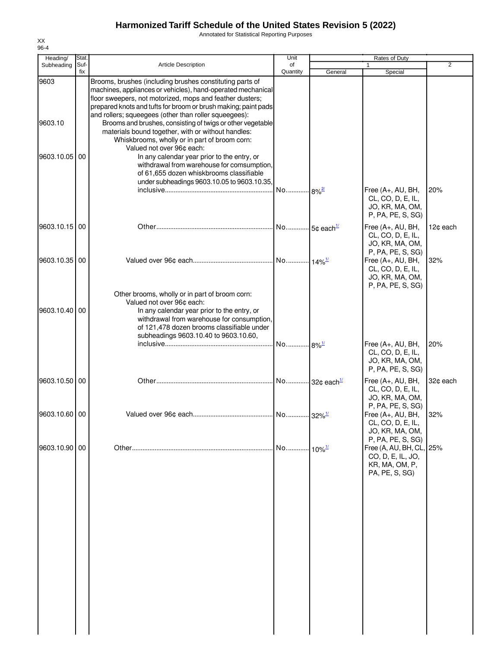Annotated for Statistical Reporting Purposes

| Heading/        | Stat.       |                                                                                                                                                                                                                                                                                                                                                                                                                                                                                                                  | Unit                |                      | Rates of Duty                                                                                          |                |
|-----------------|-------------|------------------------------------------------------------------------------------------------------------------------------------------------------------------------------------------------------------------------------------------------------------------------------------------------------------------------------------------------------------------------------------------------------------------------------------------------------------------------------------------------------------------|---------------------|----------------------|--------------------------------------------------------------------------------------------------------|----------------|
| Subheading      | Suf-<br>fix | <b>Article Description</b>                                                                                                                                                                                                                                                                                                                                                                                                                                                                                       | of<br>Quantity      | General              | 1<br>Special                                                                                           | $\overline{2}$ |
| 9603<br>9603.10 |             | Brooms, brushes (including brushes constituting parts of<br>machines, appliances or vehicles), hand-operated mechanical<br>floor sweepers, not motorized, mops and feather dusters;<br>prepared knots and tufts for broom or brush making; paint pads<br>and rollers; squeegees (other than roller squeegees):<br>Brooms and brushes, consisting of twigs or other vegetable<br>materials bound together, with or without handles:<br>Whiskbrooms, wholly or in part of broom corn:<br>Valued not over 96¢ each: |                     |                      |                                                                                                        |                |
| 9603.10.05 00   |             | In any calendar year prior to the entry, or<br>withdrawal from warehouse for comsumption,<br>of 61,655 dozen whiskbrooms classifiable<br>under subheadings 9603.10.05 to 9603.10.35,                                                                                                                                                                                                                                                                                                                             | No 8% <sup>2/</sup> |                      | Free (A+, AU, BH,<br>CL, CO, D, E, IL,<br>JO, KR, MA, OM,<br>P, PA, PE, S, SG)                         | 20%            |
| 9603.10.15 00   |             |                                                                                                                                                                                                                                                                                                                                                                                                                                                                                                                  |                     |                      | Free (A+, AU, BH,<br>CL, CO, D, E, IL,<br>JO, KR, MA, OM,                                              | 12¢ each       |
| 9603.10.35 00   |             |                                                                                                                                                                                                                                                                                                                                                                                                                                                                                                                  |                     |                      | P, PA, PE, S, SG)<br>Free (A+, AU, BH,<br>CL, CO, D, E, IL,<br>JO, KR, MA, OM,<br>P, PA, PE, S, SG)    | 32%            |
| 9603.10.40 00   |             | Other brooms, wholly or in part of broom corn:<br>Valued not over 96¢ each:<br>In any calendar year prior to the entry, or<br>withdrawal from warehouse for consumption,<br>of 121,478 dozen brooms classifiable under<br>subheadings 9603.10.40 to 9603.10.60,                                                                                                                                                                                                                                                  |                     |                      |                                                                                                        |                |
|                 |             |                                                                                                                                                                                                                                                                                                                                                                                                                                                                                                                  | No 8% <sup>1/</sup> |                      | Free (A+, AU, BH,<br>CL, CO, D, E, IL,<br>JO, KR, MA, OM,<br>P, PA, PE, S, SG)                         | 20%            |
| 9603.10.50 00   |             |                                                                                                                                                                                                                                                                                                                                                                                                                                                                                                                  |                     |                      | Free (A+, AU, BH,<br>CL, CO, D, E, IL,<br>JO, KR, MA, OM,<br>P, PA, PE, S, SG)                         | 32¢ each       |
| 9603.10.60 00   |             |                                                                                                                                                                                                                                                                                                                                                                                                                                                                                                                  |                     |                      | Free (A+, AU, BH,<br>CL, CO, D, E, IL,<br>JO, KR, MA, OM,                                              | 32%            |
| 9603.10.90 00   |             |                                                                                                                                                                                                                                                                                                                                                                                                                                                                                                                  | No                  | $10\%$ <sup>1/</sup> | P, PA, PE, S, SG)<br>Free (A, AU, BH, CL, 25%<br>CO, D, E, IL, JO,<br>KR, MA, OM, P,<br>PA, PE, S, SG) |                |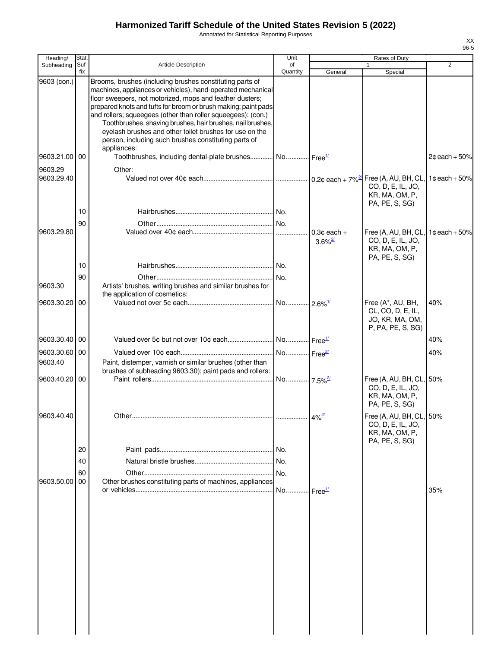Annotated for Statistical Reporting Purposes

| Heading/                 | Stat. |                                                                                                                                                                                                                                                                                                                                                                                                                                                                                                        | Unit                  |                                        | Rates of Duty                                                                     |                  |
|--------------------------|-------|--------------------------------------------------------------------------------------------------------------------------------------------------------------------------------------------------------------------------------------------------------------------------------------------------------------------------------------------------------------------------------------------------------------------------------------------------------------------------------------------------------|-----------------------|----------------------------------------|-----------------------------------------------------------------------------------|------------------|
| Subheading               | Suf   | <b>Article Description</b>                                                                                                                                                                                                                                                                                                                                                                                                                                                                             | of                    |                                        |                                                                                   | $\overline{2}$   |
| 9603 (con.)              | fix   | Brooms, brushes (including brushes constituting parts of<br>machines, appliances or vehicles), hand-operated mechanical<br>floor sweepers, not motorized, mops and feather dusters;<br>prepared knots and tufts for broom or brush making; paint pads<br>and rollers; squeegees (other than roller squeegees): (con.)<br>Toothbrushes, shaving brushes, hair brushes, nail brushes,<br>eyelash brushes and other toilet brushes for use on the<br>person, including such brushes constituting parts of | Quantity              | General                                | Special                                                                           |                  |
| 9603.21.00 00            |       | appliances:<br>Toothbrushes, including dental-plate brushes No Free <sup>1/</sup>                                                                                                                                                                                                                                                                                                                                                                                                                      |                       |                                        |                                                                                   | $2¢$ each + 50%  |
| 9603.29                  |       | Other:                                                                                                                                                                                                                                                                                                                                                                                                                                                                                                 |                       |                                        |                                                                                   |                  |
| 9603.29.40               |       |                                                                                                                                                                                                                                                                                                                                                                                                                                                                                                        |                       |                                        | CO, D, E, IL, JO,<br>KR, MA, OM, P,<br>PA, PE, S, SG)                             |                  |
|                          | 10    |                                                                                                                                                                                                                                                                                                                                                                                                                                                                                                        |                       |                                        |                                                                                   |                  |
|                          | 90    |                                                                                                                                                                                                                                                                                                                                                                                                                                                                                                        |                       |                                        |                                                                                   |                  |
| 9603.29.80               |       |                                                                                                                                                                                                                                                                                                                                                                                                                                                                                                        |                       | $0.3¢$ each +<br>$3.6\%$ <sup>2/</sup> | Free (A, AU, BH, CL,<br>CO, D, E, IL, JO,<br>KR, MA, OM, P,<br>PA, PE, S, SG)     | 1¢ each + $50\%$ |
|                          | 10    |                                                                                                                                                                                                                                                                                                                                                                                                                                                                                                        |                       |                                        |                                                                                   |                  |
| 9603.30                  | 90    | Artists' brushes, writing brushes and similar brushes for<br>the application of cosmetics:                                                                                                                                                                                                                                                                                                                                                                                                             | No.                   |                                        |                                                                                   |                  |
| 9603.30.20               | 00    |                                                                                                                                                                                                                                                                                                                                                                                                                                                                                                        | No 2.6% <sup>1/</sup> |                                        | Free (A*, AU, BH,<br>CL, CO, D, E, IL,<br>JO, KR, MA, OM,<br>P, PA, PE, S, SG)    | 40%              |
| 9603.30.40 00            |       |                                                                                                                                                                                                                                                                                                                                                                                                                                                                                                        |                       |                                        |                                                                                   | 40%              |
| 9603.30.60 00<br>9603.40 |       | Paint, distemper, varnish or similar brushes (other than                                                                                                                                                                                                                                                                                                                                                                                                                                               |                       |                                        |                                                                                   | 40%              |
| 9603.40.20 00            |       | brushes of subheading 9603.30); paint pads and rollers:                                                                                                                                                                                                                                                                                                                                                                                                                                                | No 7.5% <sup>2/</sup> |                                        | Free (A, AU, BH, CL, 50%<br>CO, D, E, IL, JO,<br>KR, MA, OM, P,<br>PA, PE, S, SG) |                  |
| 9603.40.40               |       | Other                                                                                                                                                                                                                                                                                                                                                                                                                                                                                                  |                       | $4\%$ <sup>2/</sup>                    | Free (A, AU, BH, CL, 50%<br>CO, D, E, IL, JO,<br>KR, MA, OM, P,<br>PA, PE, S, SG) |                  |
|                          | 20    |                                                                                                                                                                                                                                                                                                                                                                                                                                                                                                        | .I No.                |                                        |                                                                                   |                  |
|                          | 40    |                                                                                                                                                                                                                                                                                                                                                                                                                                                                                                        | No.                   |                                        |                                                                                   |                  |
|                          | 60    |                                                                                                                                                                                                                                                                                                                                                                                                                                                                                                        | No.                   |                                        |                                                                                   |                  |
| 9603.50.00               | 00    | Other brushes constituting parts of machines, appliances                                                                                                                                                                                                                                                                                                                                                                                                                                               | No Free <sup>11</sup> |                                        |                                                                                   | 35%              |
|                          |       |                                                                                                                                                                                                                                                                                                                                                                                                                                                                                                        |                       |                                        |                                                                                   |                  |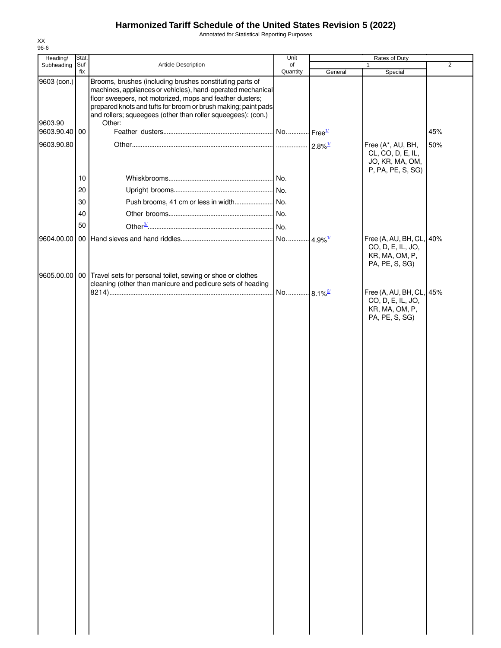Annotated for Statistical Reporting Purposes

| Heading/                 | Stat.       |                                                                                                                                                                                                                                                                                                                       | Unit                  |         | Rates of Duty                                                                  |                |
|--------------------------|-------------|-----------------------------------------------------------------------------------------------------------------------------------------------------------------------------------------------------------------------------------------------------------------------------------------------------------------------|-----------------------|---------|--------------------------------------------------------------------------------|----------------|
| Subheading               | Suf-<br>fix | Article Description                                                                                                                                                                                                                                                                                                   | of<br>Quantity        | General | Special                                                                        | $\overline{2}$ |
| 9603 (con.)              |             | Brooms, brushes (including brushes constituting parts of<br>machines, appliances or vehicles), hand-operated mechanical<br>floor sweepers, not motorized, mops and feather dusters;<br>prepared knots and tufts for broom or brush making; paint pads<br>and rollers; squeegees (other than roller squeegees): (con.) |                       |         |                                                                                |                |
| 9603.90<br>9603.90.40 00 |             | Other:                                                                                                                                                                                                                                                                                                                |                       |         |                                                                                | 45%            |
| 9603.90.80               |             |                                                                                                                                                                                                                                                                                                                       |                       |         |                                                                                | 50%            |
|                          |             |                                                                                                                                                                                                                                                                                                                       |                       |         | Free (A*, AU, BH,<br>CL, CO, D, E, IL,<br>JO, KR, MA, OM,<br>P, PA, PE, S, SG) |                |
|                          | 10          |                                                                                                                                                                                                                                                                                                                       |                       |         |                                                                                |                |
|                          | 20          |                                                                                                                                                                                                                                                                                                                       |                       |         |                                                                                |                |
|                          | 30          |                                                                                                                                                                                                                                                                                                                       |                       |         |                                                                                |                |
|                          | 40          |                                                                                                                                                                                                                                                                                                                       |                       |         |                                                                                |                |
|                          | 50          |                                                                                                                                                                                                                                                                                                                       |                       |         |                                                                                |                |
| 9604.00.00               |             |                                                                                                                                                                                                                                                                                                                       |                       |         | Free (A, AU, BH, CL, 40%                                                       |                |
| 9605.00.00               |             | 00 Travel sets for personal toilet, sewing or shoe or clothes                                                                                                                                                                                                                                                         |                       |         | CO, D, E, IL, JO,<br>KR, MA, OM, P,<br>PA, PE, S, SG)                          |                |
|                          |             | cleaning (other than manicure and pedicure sets of heading                                                                                                                                                                                                                                                            |                       |         |                                                                                |                |
|                          |             |                                                                                                                                                                                                                                                                                                                       | No 8.1% <sup>2/</sup> |         | Free (A, AU, BH, CL, 45%<br>CO, D, E, IL, JO,                                  |                |
|                          |             |                                                                                                                                                                                                                                                                                                                       |                       |         | KR, MA, OM, P,<br>PA, PE, S, SG)                                               |                |
|                          |             |                                                                                                                                                                                                                                                                                                                       |                       |         |                                                                                |                |
|                          |             |                                                                                                                                                                                                                                                                                                                       |                       |         |                                                                                |                |
|                          |             |                                                                                                                                                                                                                                                                                                                       |                       |         |                                                                                |                |
|                          |             |                                                                                                                                                                                                                                                                                                                       |                       |         |                                                                                |                |
|                          |             |                                                                                                                                                                                                                                                                                                                       |                       |         |                                                                                |                |
|                          |             |                                                                                                                                                                                                                                                                                                                       |                       |         |                                                                                |                |
|                          |             |                                                                                                                                                                                                                                                                                                                       |                       |         |                                                                                |                |
|                          |             |                                                                                                                                                                                                                                                                                                                       |                       |         |                                                                                |                |
|                          |             |                                                                                                                                                                                                                                                                                                                       |                       |         |                                                                                |                |
|                          |             |                                                                                                                                                                                                                                                                                                                       |                       |         |                                                                                |                |
|                          |             |                                                                                                                                                                                                                                                                                                                       |                       |         |                                                                                |                |
|                          |             |                                                                                                                                                                                                                                                                                                                       |                       |         |                                                                                |                |
|                          |             |                                                                                                                                                                                                                                                                                                                       |                       |         |                                                                                |                |
|                          |             |                                                                                                                                                                                                                                                                                                                       |                       |         |                                                                                |                |
|                          |             |                                                                                                                                                                                                                                                                                                                       |                       |         |                                                                                |                |
|                          |             |                                                                                                                                                                                                                                                                                                                       |                       |         |                                                                                |                |
|                          |             |                                                                                                                                                                                                                                                                                                                       |                       |         |                                                                                |                |
|                          |             |                                                                                                                                                                                                                                                                                                                       |                       |         |                                                                                |                |
|                          |             |                                                                                                                                                                                                                                                                                                                       |                       |         |                                                                                |                |
|                          |             |                                                                                                                                                                                                                                                                                                                       |                       |         |                                                                                |                |
|                          |             |                                                                                                                                                                                                                                                                                                                       |                       |         |                                                                                |                |
|                          |             |                                                                                                                                                                                                                                                                                                                       |                       |         |                                                                                |                |
|                          |             |                                                                                                                                                                                                                                                                                                                       |                       |         |                                                                                |                |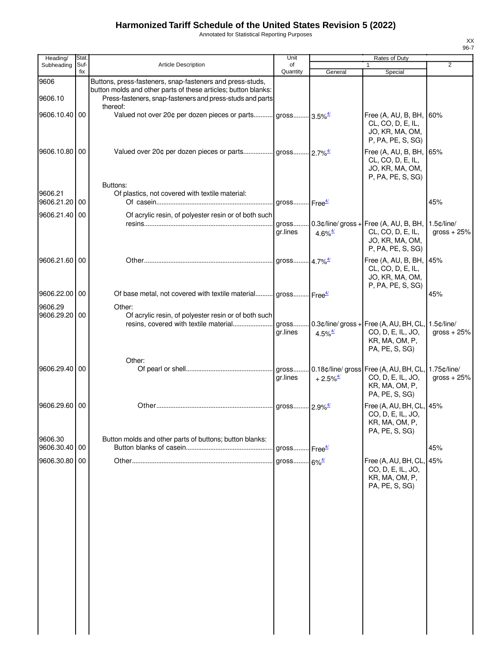Annotated for Statistical Reporting Purposes

| Heading/        | Stat.       |                                                                                                                                                                                                      | Unit                     |                                              | Rates of Duty                                                                                             |                                  |
|-----------------|-------------|------------------------------------------------------------------------------------------------------------------------------------------------------------------------------------------------------|--------------------------|----------------------------------------------|-----------------------------------------------------------------------------------------------------------|----------------------------------|
| Subheading      | Suf-<br>fix | Article Description                                                                                                                                                                                  | of<br>Quantity           | General                                      | $\mathbf{1}$<br>Special                                                                                   | $\overline{2}$                   |
| 9606<br>9606.10 |             | Buttons, press-fasteners, snap-fasteners and press-studs,<br>button molds and other parts of these articles; button blanks:<br>Press-fasteners, snap-fasteners and press-studs and parts<br>thereof: |                          |                                              |                                                                                                           |                                  |
| 9606.10.40 00   |             | Valued not over 20¢ per dozen pieces or parts gross 3.5% <sup>4/</sup>                                                                                                                               |                          |                                              | Free (A, AU, B, BH, 60%<br>CL, CO, D, E, IL,<br>JO, KR, MA, OM,<br>P, PA, PE, S, SG)                      |                                  |
| 9606.10.80 00   |             |                                                                                                                                                                                                      |                          |                                              | Free (A, AU, B, BH,<br>CL, CO, D, E, IL,<br>JO, KR, MA, OM,<br>P, PA, PE, S, SG)                          | 65%                              |
| 9606.21         |             | Buttons:<br>Of plastics, not covered with textile material:                                                                                                                                          |                          |                                              |                                                                                                           |                                  |
| 9606.21.20 00   |             |                                                                                                                                                                                                      |                          |                                              |                                                                                                           | 45%                              |
| 9606.21.40 00   |             | Of acrylic resin, of polyester resin or of both such                                                                                                                                                 |                          |                                              |                                                                                                           |                                  |
|                 |             |                                                                                                                                                                                                      | gr.lines                 | 4.6% $\frac{4}{3}$                           | gross 0.3¢/line/ gross + Free (A, AU, B, BH,<br>CL, CO, D, E, IL,<br>JO, KR, MA, OM,<br>P, PA, PE, S, SG) | $1.5$ $c$ /line/<br>gross $+25%$ |
| 9606.21.60 00   |             |                                                                                                                                                                                                      |                          |                                              | Free (A, AU, B, BH,<br>CL, CO, D, E, IL,<br>JO, KR, MA, OM,<br>P, PA, PE, S, SG)                          | 45%                              |
| 9606.22.00 00   |             | Of base metal, not covered with textile material gross Free <sup>4/</sup>                                                                                                                            |                          |                                              |                                                                                                           | 45%                              |
| 9606.29         |             | Other:                                                                                                                                                                                               |                          |                                              |                                                                                                           |                                  |
| 9606.29.20 00   |             | Of acrylic resin, of polyester resin or of both such<br>resins, covered with textile material                                                                                                        | gross<br>gr.lines        | 4.5% $\frac{4}{3}$                           | $0.3$ ¢/line/ gross + Free (A, AU, BH, CL,<br>CO, D, E, IL, JO,<br>KR, MA, OM, P,<br>PA, PE, S, SG)       | $1.5$ $¢$ /line/<br>gross $+25%$ |
| 9606.29.40 00   |             | Other:                                                                                                                                                                                               | ar.lines                 | $+2.5\%$ <sup><math>\frac{4}{3}</math></sup> | CO, D, E, IL, JO,<br>KR, MA, OM, P,<br>PA, PE, S, SG)                                                     | 1.75¢/line/<br>gross $+25%$      |
| 9606.29.60 00   |             |                                                                                                                                                                                                      |                          |                                              | Free (A, AU, BH, CL, 45%<br>CO, D, E, IL, JO,<br>KR, MA, OM, P,<br>PA, PE, S, SG)                         |                                  |
| 9606.30         |             | Button molds and other parts of buttons; button blanks:                                                                                                                                              |                          |                                              |                                                                                                           |                                  |
| 9606.30.40 00   |             |                                                                                                                                                                                                      | gross Free <sup>4/</sup> |                                              |                                                                                                           | 45%                              |
| 9606.30.80 00   |             |                                                                                                                                                                                                      | gross 6% <sup>4/</sup>   |                                              | Free (A, AU, BH, CL,<br>CO, D, E, IL, JO,<br>KR, MA, OM, P,<br>PA, PE, S, SG)                             | 45%                              |
|                 |             |                                                                                                                                                                                                      |                          |                                              |                                                                                                           |                                  |
|                 |             |                                                                                                                                                                                                      |                          |                                              |                                                                                                           |                                  |
|                 |             |                                                                                                                                                                                                      |                          |                                              |                                                                                                           |                                  |
|                 |             |                                                                                                                                                                                                      |                          |                                              |                                                                                                           |                                  |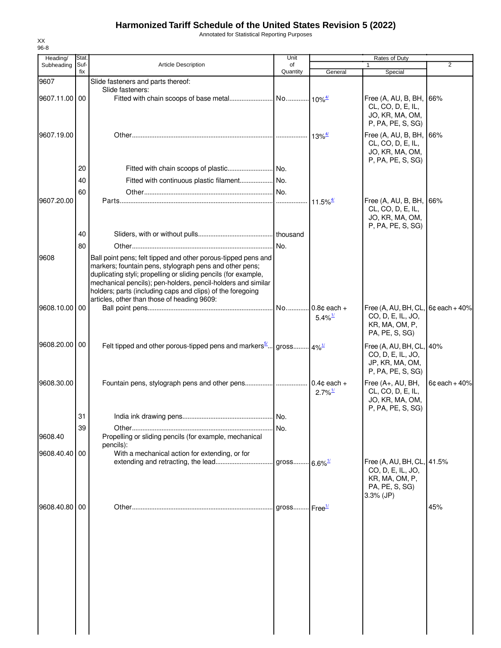Annotated for Statistical Reporting Purposes

| Heading/      | Stat.       |                                                                                                                                                                                                                                                                                                                                                                         | Unit                     |                                              | Rates of Duty                                                                                      |                 |
|---------------|-------------|-------------------------------------------------------------------------------------------------------------------------------------------------------------------------------------------------------------------------------------------------------------------------------------------------------------------------------------------------------------------------|--------------------------|----------------------------------------------|----------------------------------------------------------------------------------------------------|-----------------|
| Subheading    | Suf-<br>fix | <b>Article Description</b>                                                                                                                                                                                                                                                                                                                                              | of<br>Quantity           | General                                      | $\mathbf{1}$<br>Special                                                                            | $\overline{2}$  |
| 9607          |             | Slide fasteners and parts thereof:                                                                                                                                                                                                                                                                                                                                      |                          |                                              |                                                                                                    |                 |
| 9607.11.00 00 |             | Slide fasteners:                                                                                                                                                                                                                                                                                                                                                        |                          |                                              | Free (A, AU, B, BH, 66%<br>CL, CO, D, E, IL,<br>JO, KR, MA, OM,<br>P, PA, PE, S, SG)               |                 |
| 9607.19.00    |             |                                                                                                                                                                                                                                                                                                                                                                         |                          | $13\%^{\frac{4}{5}}$                         | Free (A, AU, B, BH, 66%<br>CL, CO, D, E, IL,<br>JO, KR, MA, OM,<br>P, PA, PE, S, SG)               |                 |
|               | 20          |                                                                                                                                                                                                                                                                                                                                                                         |                          |                                              |                                                                                                    |                 |
|               | 40          |                                                                                                                                                                                                                                                                                                                                                                         |                          |                                              |                                                                                                    |                 |
|               | 60          |                                                                                                                                                                                                                                                                                                                                                                         |                          |                                              |                                                                                                    |                 |
| 9607.20.00    |             |                                                                                                                                                                                                                                                                                                                                                                         |                          | $11.5\%$ <sup><math>\frac{4}{1}</math></sup> | Free (A, AU, B, BH, 66%<br>CL, CO, D, E, IL,<br>JO, KR, MA, OM,<br>P, PA, PE, S, SG)               |                 |
|               | 40          |                                                                                                                                                                                                                                                                                                                                                                         |                          |                                              |                                                                                                    |                 |
|               | 80          |                                                                                                                                                                                                                                                                                                                                                                         |                          |                                              |                                                                                                    |                 |
| 9608          |             | Ball point pens; felt tipped and other porous-tipped pens and<br>markers; fountain pens, stylograph pens and other pens;<br>duplicating styli; propelling or sliding pencils (for example,<br>mechanical pencils); pen-holders, pencil-holders and similar<br>holders; parts (including caps and clips) of the foregoing<br>articles, other than those of heading 9609: |                          |                                              |                                                                                                    |                 |
| 9608.10.00 00 |             |                                                                                                                                                                                                                                                                                                                                                                         |                          | $5.4\%$ <sup>1/</sup>                        | Free (A, AU, BH, CL, 6¢ each + 40%<br>CO, D, E, IL, JO,<br>KR, MA, OM, P,<br>PA, PE, S, SG)        |                 |
| 9608.20.00 00 |             | Felt tipped and other porous-tipped pens and markers <sup>5</sup> gross $4\frac{1}{2}$                                                                                                                                                                                                                                                                                  |                          |                                              | Free (A, AU, BH, CL, 40%<br>CO, D, E, IL, JO,<br>JP, KR, MA, OM,<br>P, PA, PE, S, SG)              |                 |
| 9608.30.00    |             |                                                                                                                                                                                                                                                                                                                                                                         |                          | $2.7\%$ <sup>1/</sup>                        | Free (A+, AU, BH,<br>CL, CO, D, E, IL,<br>JO, KR, MA, OM,<br>P, PA, PE, S, SG)                     | $6c$ each + 40% |
|               | 31          |                                                                                                                                                                                                                                                                                                                                                                         |                          |                                              |                                                                                                    |                 |
| 9608.40       | 39          | Propelling or sliding pencils (for example, mechanical<br>pencils):                                                                                                                                                                                                                                                                                                     | No.                      |                                              |                                                                                                    |                 |
| 9608.40.40 00 |             | With a mechanical action for extending, or for                                                                                                                                                                                                                                                                                                                          |                          |                                              |                                                                                                    |                 |
|               |             |                                                                                                                                                                                                                                                                                                                                                                         | gross 6.6% <sup>1/</sup> |                                              | Free (A, AU, BH, CL, 41.5%<br>CO, D, E, IL, JO,<br>KR, MA, OM, P,<br>PA, PE, S, SG)<br>$3.3%$ (JP) |                 |
| 9608.40.80 00 |             |                                                                                                                                                                                                                                                                                                                                                                         | gross $Free1/2$          |                                              |                                                                                                    | 45%             |
|               |             |                                                                                                                                                                                                                                                                                                                                                                         |                          |                                              |                                                                                                    |                 |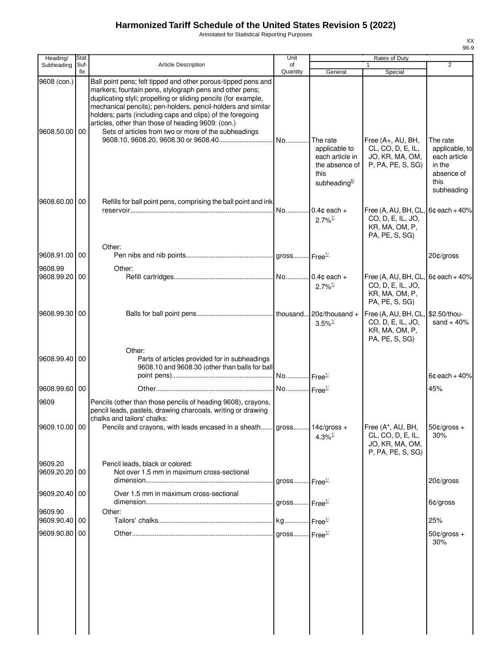Annotated for Statistical Reporting Purposes

| Heading/                     | Stat.       |                                                                                                                                                                                                                                                                                                                                                                                                                                        | Unit                     |                                                                                        | Rates of Duty                                                                  |                                                                              |
|------------------------------|-------------|----------------------------------------------------------------------------------------------------------------------------------------------------------------------------------------------------------------------------------------------------------------------------------------------------------------------------------------------------------------------------------------------------------------------------------------|--------------------------|----------------------------------------------------------------------------------------|--------------------------------------------------------------------------------|------------------------------------------------------------------------------|
| Subheading                   | Suf-<br>fix | Article Description                                                                                                                                                                                                                                                                                                                                                                                                                    | of<br>Quantity           | General                                                                                | Special                                                                        | 2                                                                            |
| 9608 (con.)<br>9608.50.00 00 |             | Ball point pens; felt tipped and other porous-tipped pens and<br>markers; fountain pens, stylograph pens and other pens;<br>duplicating styli; propelling or sliding pencils (for example,<br>mechanical pencils); pen-holders, pencil-holders and similar<br>holders; parts (including caps and clips) of the foregoing<br>articles, other than those of heading 9609: (con.)<br>Sets of articles from two or more of the subheadings | No                       | The rate                                                                               | Free (A+, AU, BH,                                                              | The rate                                                                     |
| 9608.60.00 00                |             | Refills for ball point pens, comprising the ball point and ink                                                                                                                                                                                                                                                                                                                                                                         |                          | applicable to<br>each article in<br>the absence of<br>this<br>subheading <sup>6/</sup> | CL, CO, D, E, IL,<br>JO, KR, MA, OM,<br>P, PA, PE, S, SG)                      | applicable, to<br>each article<br>in the<br>absence of<br>this<br>subheading |
|                              |             |                                                                                                                                                                                                                                                                                                                                                                                                                                        | No                       | $0.4c$ each +<br>$2.7\%$ <sup>1/</sup>                                                 | Free (A, AU, BH, CL<br>CO, D, E, IL, JO,<br>KR, MA, OM, P,<br>PA, PE, S, SG)   | $6¢$ each + 40%                                                              |
| 9608.91.00 00                |             | Other:                                                                                                                                                                                                                                                                                                                                                                                                                                 |                          |                                                                                        |                                                                                | 20¢/gross                                                                    |
| 9608.99<br>9608.99.20 00     |             | Other:                                                                                                                                                                                                                                                                                                                                                                                                                                 |                          | $2.7\%$ <sup>1/</sup>                                                                  | Free (A, AU, BH, CL<br>CO, D, E, IL, JO,<br>KR, MA, OM, P,<br>PA, PE, S, SG)   | $6c$ each + $40%$                                                            |
| 9608.99.30 00                |             |                                                                                                                                                                                                                                                                                                                                                                                                                                        |                          | $3.5\%$ <sup>1/</sup>                                                                  | Free (A, AU, BH, CL,<br>CO, D, E, IL, JO,<br>KR, MA, OM, P,<br>PA, PE, S, SG)  | \$2.50/thou-<br>sand $+40%$                                                  |
| 9608.99.40 00                |             | Other:<br>Parts of articles provided for in subheadings<br>9608.10 and 9608.30 (other than balls for ball                                                                                                                                                                                                                                                                                                                              | No Free <sup>1/</sup>    |                                                                                        |                                                                                | $6¢$ each + $40\%$                                                           |
| 9608.99.60 00                |             |                                                                                                                                                                                                                                                                                                                                                                                                                                        | No Free <sup>1/</sup>    |                                                                                        |                                                                                | 45%                                                                          |
| 9609                         |             | Pencils (other than those pencils of heading 9608), crayons,<br>pencil leads, pastels, drawing charcoals, writing or drawing<br>chalks and tailors' chalks:                                                                                                                                                                                                                                                                            |                          |                                                                                        |                                                                                |                                                                              |
| 9609.10.00 00                |             | Pencils and crayons, with leads encased in a sheath gross 14¢/gross +                                                                                                                                                                                                                                                                                                                                                                  |                          | $4.3\%$ <sup>1/</sup>                                                                  | Free (A*, AU, BH,<br>CL, CO, D, E, IL,<br>JO, KR, MA, OM,<br>P, PA, PE, S, SG) | $50¢/gross +$<br>30%                                                         |
| 9609.20<br>9609.20.20 00     |             | Pencil leads, black or colored:<br>Not over 1.5 mm in maximum cross-sectional                                                                                                                                                                                                                                                                                                                                                          | gross Free <sup>1/</sup> |                                                                                        |                                                                                | 20¢/gross                                                                    |
| 9609.20.40   00              |             | Over 1.5 mm in maximum cross-sectional                                                                                                                                                                                                                                                                                                                                                                                                 | gross Free <sup>1/</sup> |                                                                                        |                                                                                | 6¢/gross                                                                     |
| 9609.90<br>9609.90.40 00     |             | Other:                                                                                                                                                                                                                                                                                                                                                                                                                                 |                          |                                                                                        |                                                                                | 25%                                                                          |
| 9609.90.80 00                |             |                                                                                                                                                                                                                                                                                                                                                                                                                                        |                          |                                                                                        |                                                                                | $50¢/gross +$                                                                |
|                              |             |                                                                                                                                                                                                                                                                                                                                                                                                                                        |                          |                                                                                        |                                                                                | 30%                                                                          |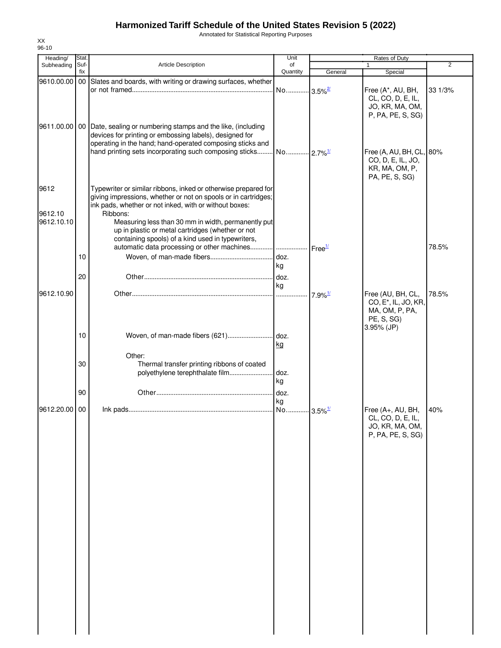Annotated for Statistical Reporting Purposes

| Heading/      | Stat.       |                                                                              | Unit                   |                        | Rates of Duty                        |                |
|---------------|-------------|------------------------------------------------------------------------------|------------------------|------------------------|--------------------------------------|----------------|
| Subheading    | Suf-<br>fix | Article Description                                                          | of<br>Quantity         | General                | 1<br>Special                         | $\overline{2}$ |
| 9610.00.00 00 |             | Slates and boards, with writing or drawing surfaces, whether                 |                        |                        |                                      |                |
|               |             |                                                                              | No                     | $-3.5\%$ <sup>2/</sup> | Free (A*, AU, BH,                    | 33 1/3%        |
|               |             |                                                                              |                        |                        | CL, CO, D, E, IL,                    |                |
|               |             |                                                                              |                        |                        | JO, KR, MA, OM,                      |                |
|               |             |                                                                              |                        |                        | P, PA, PE, S, SG)                    |                |
|               |             | 9611.00.00   00   Date, sealing or numbering stamps and the like, (including |                        |                        |                                      |                |
|               |             | devices for printing or embossing labels), designed for                      |                        |                        |                                      |                |
|               |             | operating in the hand; hand-operated composing sticks and                    |                        |                        |                                      |                |
|               |             | hand printing sets incorporating such composing sticks                       | No 2.7% <sup>1/1</sup> |                        | Free (A, AU, BH, CL, 80%             |                |
|               |             |                                                                              |                        |                        | CO, D, E, IL, JO,<br>KR, MA, OM, P,  |                |
|               |             |                                                                              |                        |                        | PA, PE, S, SG)                       |                |
| 9612          |             | Typewriter or similar ribbons, inked or otherwise prepared for               |                        |                        |                                      |                |
|               |             | giving impressions, whether or not on spools or in cartridges;               |                        |                        |                                      |                |
|               |             | ink pads, whether or not inked, with or without boxes:                       |                        |                        |                                      |                |
| 9612.10       |             | Ribbons:                                                                     |                        |                        |                                      |                |
| 9612.10.10    |             | Measuring less than 30 mm in width, permanently put                          |                        |                        |                                      |                |
|               |             | up in plastic or metal cartridges (whether or not                            |                        |                        |                                      |                |
|               |             | containing spools) of a kind used in typewriters,                            |                        |                        |                                      |                |
|               | 10          |                                                                              | doz.                   | Free <sup>1/</sup>     |                                      | 78.5%          |
|               |             |                                                                              | kg                     |                        |                                      |                |
|               | 20          |                                                                              | doz.                   |                        |                                      |                |
|               |             |                                                                              | kg                     |                        |                                      |                |
| 9612.10.90    |             |                                                                              | 1.1.1.1.1.1            | $7.9\%$ <sup>1/</sup>  | Free (AU, BH, CL,                    | 78.5%          |
|               |             |                                                                              |                        |                        | CO, E <sup>*</sup> , IL, JO, KR,     |                |
|               |             |                                                                              |                        |                        | MA, OM, P, PA,                       |                |
|               |             |                                                                              |                        |                        | PE, S, SG)                           |                |
|               | 10          | Woven, of man-made fibers (621)                                              | doz.                   |                        | 3.95% (JP)                           |                |
|               |             |                                                                              | kg                     |                        |                                      |                |
|               |             | Other:                                                                       |                        |                        |                                      |                |
|               | 30          | Thermal transfer printing ribbons of coated                                  |                        |                        |                                      |                |
|               |             | polyethylene terephthalate film                                              | doz.                   |                        |                                      |                |
|               |             |                                                                              | kg                     |                        |                                      |                |
|               | 90          |                                                                              | doz.                   |                        |                                      |                |
|               |             |                                                                              | kg                     |                        |                                      |                |
| 9612.20.00 00 |             |                                                                              | No                     | $-3.5\%$ <sup>1/</sup> | Free (A+, AU, BH,                    | 40%            |
|               |             |                                                                              |                        |                        | CL, CO, D, E, IL,<br>JO, KR, MA, OM, |                |
|               |             |                                                                              |                        |                        | P, PA, PE, S, SG)                    |                |
|               |             |                                                                              |                        |                        |                                      |                |
|               |             |                                                                              |                        |                        |                                      |                |
|               |             |                                                                              |                        |                        |                                      |                |
|               |             |                                                                              |                        |                        |                                      |                |
|               |             |                                                                              |                        |                        |                                      |                |
|               |             |                                                                              |                        |                        |                                      |                |
|               |             |                                                                              |                        |                        |                                      |                |
|               |             |                                                                              |                        |                        |                                      |                |
|               |             |                                                                              |                        |                        |                                      |                |
|               |             |                                                                              |                        |                        |                                      |                |
|               |             |                                                                              |                        |                        |                                      |                |
|               |             |                                                                              |                        |                        |                                      |                |
|               |             |                                                                              |                        |                        |                                      |                |
|               |             |                                                                              |                        |                        |                                      |                |
|               |             |                                                                              |                        |                        |                                      |                |
|               |             |                                                                              |                        |                        |                                      |                |
|               |             |                                                                              |                        |                        |                                      |                |
|               |             |                                                                              |                        |                        |                                      |                |
|               |             |                                                                              |                        |                        |                                      |                |
|               |             |                                                                              |                        |                        |                                      |                |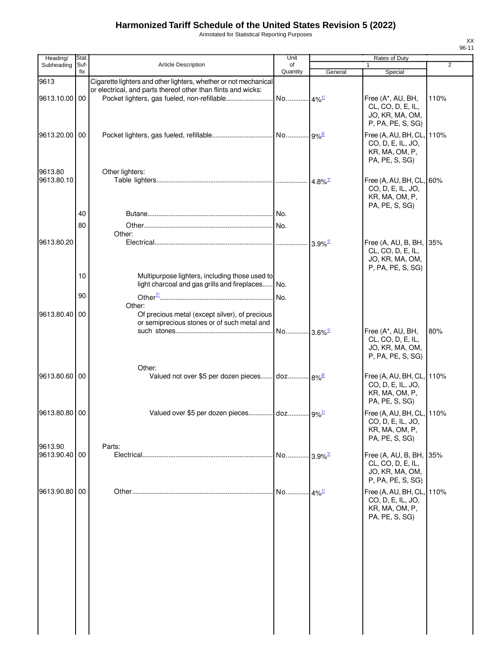Annotated for Statistical Reporting Purposes

| Heading/                 | Stat.       |                                                                                                         | Unit                  |                       | Rates of Duty                                                                        |                |
|--------------------------|-------------|---------------------------------------------------------------------------------------------------------|-----------------------|-----------------------|--------------------------------------------------------------------------------------|----------------|
| Subheading               | Suf-<br>fix | <b>Article Description</b>                                                                              | of<br>Quantity        | General               | Special                                                                              | $\overline{2}$ |
| 9613                     |             | Cigarette lighters and other lighters, whether or not mechanical                                        |                       |                       |                                                                                      |                |
| 9613.10.00 00            |             | or electrical, and parts thereof other than flints and wicks:                                           |                       |                       | Free (A*, AU, BH,<br>CL, CO, D, E, IL,<br>JO, KR, MA, OM,<br>P, PA, PE, S, SG)       | 110%           |
| 9613.20.00 00            |             |                                                                                                         |                       |                       | Free (A, AU, BH, CL,<br>CO, D, E, IL, JO,<br>KR, MA, OM, P,<br>PA, PE, S, SG)        | 110%           |
| 9613.80<br>9613.80.10    |             | Other lighters:                                                                                         |                       |                       | Free (A, AU, BH, CL,<br>CO, D, E, IL, JO,<br>KR, MA, OM, P,<br>PA, PE, S, SG)        | 60%            |
|                          | 40          |                                                                                                         |                       |                       |                                                                                      |                |
|                          | 80          |                                                                                                         |                       |                       |                                                                                      |                |
|                          |             | Other:                                                                                                  |                       |                       |                                                                                      |                |
| 9613.80.20               |             |                                                                                                         |                       | $3.9\%$ <sup>1/</sup> | Free (A, AU, B, BH, 35%<br>CL, CO, D, E, IL,<br>JO, KR, MA, OM,<br>P, PA, PE, S, SG) |                |
|                          | 10          | Multipurpose lighters, including those used to                                                          |                       |                       |                                                                                      |                |
|                          |             | light charcoal and gas grills and fireplaces No.                                                        |                       |                       |                                                                                      |                |
|                          | 90          |                                                                                                         |                       |                       |                                                                                      |                |
| 9613.80.40               | 00          | Other:<br>Of precious metal (except silver), of precious<br>or semiprecious stones or of such metal and | No 3.6% <sup>1/</sup> |                       | Free (A*, AU, BH,                                                                    | 80%            |
|                          |             |                                                                                                         |                       |                       | CL, CO, D, E, IL,<br>JO, KR, MA, OM,<br>P, PA, PE, S, SG)                            |                |
| 9613.80.60 00            |             | Other:<br>Valued not over \$5 per dozen pieces doz 8% <sup>2</sup>                                      |                       |                       | Free (A, AU, BH, CL, 110%<br>CO, D, E, IL, JO,<br>KR, MA, OM, P,<br>PA, PE, S, SG)   |                |
| 9613.80.80 00            |             | Valued over \$5 per dozen pieces doz 9% <sup>1/</sup>                                                   |                       |                       | Free (A, AU, BH, CL, 110%<br>CO, D, E, IL, JO,<br>KR, MA, OM, P,<br>PA, PE, S, SG)   |                |
| 9613.90<br>9613.90.40 00 |             | Parts:                                                                                                  | No 3.9% <sup>1/</sup> |                       | Free (A, AU, B, BH,<br>CL, CO, D, E, IL,<br>JO, KR, MA, OM,<br>P, PA, PE, S, SG)     | 35%            |
| 9613.90.80 00            |             |                                                                                                         | No 4% <sup>1/</sup>   |                       | Free (A, AU, BH, CL,<br>CO, D, E, IL, JO,<br>KR, MA, OM, P,<br>PA, PE, S, SG)        | 110%           |
|                          |             |                                                                                                         |                       |                       |                                                                                      |                |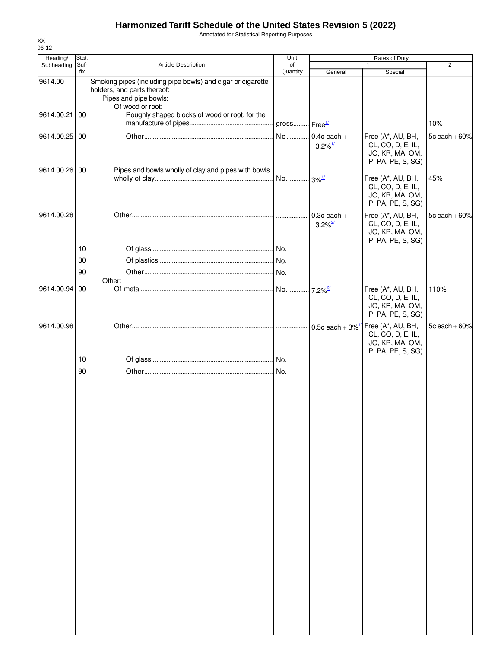Annotated for Statistical Reporting Purposes

| Heading/      | Stat.       |                                                                                                                                         | Unit           |                                         | Rates of Duty                                                                  |                 |
|---------------|-------------|-----------------------------------------------------------------------------------------------------------------------------------------|----------------|-----------------------------------------|--------------------------------------------------------------------------------|-----------------|
| Subheading    | Suf-<br>fix | Article Description                                                                                                                     | of<br>Quantity | General                                 | $\mathbf{1}$<br>Special                                                        | 2               |
| 9614.00       |             | Smoking pipes (including pipe bowls) and cigar or cigarette<br>holders, and parts thereof:<br>Pipes and pipe bowls:<br>Of wood or root: |                |                                         |                                                                                |                 |
| 9614.00.21 00 |             | Roughly shaped blocks of wood or root, for the                                                                                          |                |                                         |                                                                                | 10%             |
| 9614.00.25 00 |             |                                                                                                                                         | No             | $0.4$ ¢ each +<br>$3.2\%$ <sup>1/</sup> | Free (A*, AU, BH,<br>CL, CO, D, E, IL,<br>JO, KR, MA, OM,<br>P, PA, PE, S, SG) | $5¢$ each + 60% |
| 9614.00.26 00 |             | Pipes and bowls wholly of clay and pipes with bowls                                                                                     |                |                                         | Free (A*, AU, BH,<br>CL, CO, D, E, IL,<br>JO, KR, MA, OM,<br>P, PA, PE, S, SG) | 45%             |
| 9614.00.28    |             |                                                                                                                                         |                | $0.3¢$ each +<br>$3.2\%$ <sup>2/</sup>  | Free (A*, AU, BH,<br>CL, CO, D, E, IL,<br>JO, KR, MA, OM,<br>P, PA, PE, S, SG) | $5¢$ each + 60% |
|               | 10          |                                                                                                                                         |                |                                         |                                                                                |                 |
|               | 30          |                                                                                                                                         |                |                                         |                                                                                |                 |
|               | 90          |                                                                                                                                         |                |                                         |                                                                                |                 |
| 9614.00.94 00 |             | Other:                                                                                                                                  |                |                                         | Free (A*, AU, BH,<br>CL, CO, D, E, IL,<br>JO, KR, MA, OM,<br>P, PA, PE, S, SG) | 110%            |
| 9614.00.98    |             |                                                                                                                                         |                |                                         | Free (A*, AU, BH,<br>CL, CO, D, E, IL,<br>JO, KR, MA, OM,<br>P, PA, PE, S, SG) | $5¢$ each + 60% |
|               | 10          |                                                                                                                                         |                |                                         |                                                                                |                 |
|               | 90          |                                                                                                                                         |                |                                         |                                                                                |                 |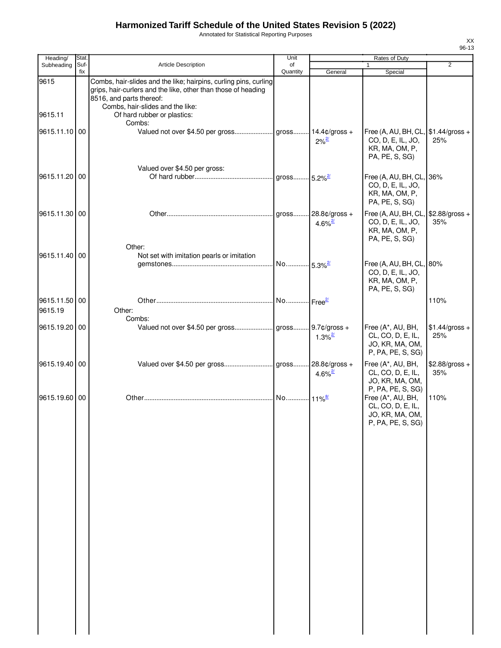Annotated for Statistical Reporting Purposes

| Heading/                 | Stat.       |                                                                                                                                                                                                   | Unit                  |                                          | Rates of Duty                                                                                       |                        |
|--------------------------|-------------|---------------------------------------------------------------------------------------------------------------------------------------------------------------------------------------------------|-----------------------|------------------------------------------|-----------------------------------------------------------------------------------------------------|------------------------|
| Subheading               | Suf-<br>fix | Article Description                                                                                                                                                                               | of<br>Quantity        | General                                  | $\mathbf{1}$<br>Special                                                                             | 2                      |
| 9615                     |             | Combs, hair-slides and the like; hairpins, curling pins, curling<br>grips, hair-curlers and the like, other than those of heading<br>8516, and parts thereof:<br>Combs, hair-slides and the like: |                       |                                          |                                                                                                     |                        |
| 9615.11                  |             | Of hard rubber or plastics:<br>Combs:                                                                                                                                                             |                       |                                          |                                                                                                     |                        |
| 9615.11.10 00            |             |                                                                                                                                                                                                   |                       | $2\%^{\frac{2l}{2}}$                     | Free (A, AU, BH, CL, \$1.44/gross +<br>CO, D, E, IL, JO,<br>KR, MA, OM, P,<br>PA, PE, S, SG)        | 25%                    |
| 9615.11.20 00            |             | Valued over \$4.50 per gross:                                                                                                                                                                     |                       |                                          | Free (A, AU, BH, CL, 36%<br>CO, D, E, IL, JO,<br>KR, MA, OM, P,<br>PA, PE, S, SG)                   |                        |
| 9615.11.30 00            |             | Other:                                                                                                                                                                                            | gross                 | $28.8¢/gross +$<br>$4.6\%$ <sup>2/</sup> | Free (A, AU, BH, CL,<br>CO, D, E, IL, JO,<br>KR, MA, OM, P,<br>PA, PE, S, SG)                       | \$2.88/gross +<br>35%  |
| 9615.11.40 00            |             | Not set with imitation pearls or imitation                                                                                                                                                        | No 5.3% <sup>2/</sup> |                                          | Free (A, AU, BH, CL, 80%<br>CO, D, E, IL, JO,<br>KR, MA, OM, P,<br>PA, PE, S, SG)                   |                        |
| 9615.11.50 00<br>9615.19 |             | Other:<br>Combs:                                                                                                                                                                                  |                       |                                          |                                                                                                     | 110%                   |
| 9615.19.20 00            |             |                                                                                                                                                                                                   |                       | $1.3\%$ <sup>2/</sup>                    | Free (A*, AU, BH,<br>CL, CO, D, E, IL,<br>JO, KR, MA, OM,<br>P, PA, PE, S, SG)                      | $$1.44/gross +$<br>25% |
| 9615.19.40 00            |             |                                                                                                                                                                                                   |                       | 4.6% $\frac{27}{1}$                      | Free (A*, AU, BH,<br>CL, CO, D, E, IL,<br>JO, KR, MA, OM,                                           | \$2.88/gross +<br>35%  |
| 9615.19.60 00            |             |                                                                                                                                                                                                   |                       |                                          | P, PA, PE, S, SG)<br>Free (A*, AU, BH,<br>CL, CO, D, E, IL,<br>JO, KR, MA, OM,<br>P, PA, PE, S, SG) | 110%                   |
|                          |             |                                                                                                                                                                                                   |                       |                                          |                                                                                                     |                        |
|                          |             |                                                                                                                                                                                                   |                       |                                          |                                                                                                     |                        |
|                          |             |                                                                                                                                                                                                   |                       |                                          |                                                                                                     |                        |
|                          |             |                                                                                                                                                                                                   |                       |                                          |                                                                                                     |                        |
|                          |             |                                                                                                                                                                                                   |                       |                                          |                                                                                                     |                        |
|                          |             |                                                                                                                                                                                                   |                       |                                          |                                                                                                     |                        |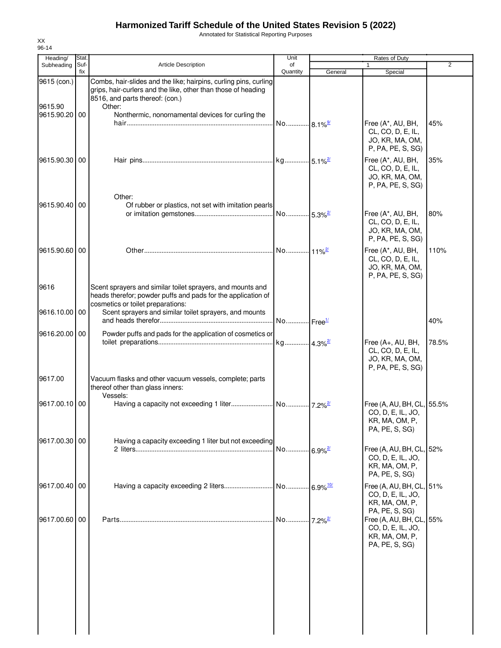Annotated for Statistical Reporting Purposes

| Suf-<br>fix   | <b>Article Description</b>                                                                                                                                           | of<br>Quantity                                                                                                                                                                                                   | General | $\mathbf{1}$<br>Special                                                                           | 2                                                                                                                                |
|---------------|----------------------------------------------------------------------------------------------------------------------------------------------------------------------|------------------------------------------------------------------------------------------------------------------------------------------------------------------------------------------------------------------|---------|---------------------------------------------------------------------------------------------------|----------------------------------------------------------------------------------------------------------------------------------|
|               |                                                                                                                                                                      |                                                                                                                                                                                                                  |         |                                                                                                   |                                                                                                                                  |
|               | Combs, hair-slides and the like; hairpins, curling pins, curling<br>grips, hair-curlers and the like, other than those of heading<br>8516, and parts thereof: (con.) |                                                                                                                                                                                                                  |         |                                                                                                   |                                                                                                                                  |
| 9615.90.20 00 | Nonthermic, nonornamental devices for curling the                                                                                                                    |                                                                                                                                                                                                                  |         | Free (A*, AU, BH,<br>CL, CO, D, E, IL,<br>JO, KR, MA, OM,<br>P, PA, PE, S, SG)                    | 45%                                                                                                                              |
| 9615.90.30 00 |                                                                                                                                                                      |                                                                                                                                                                                                                  |         | Free (A*, AU, BH,<br>CL, CO, D, E, IL,<br>JO, KR, MA, OM,<br>P, PA, PE, S, SG)                    | 35%                                                                                                                              |
| 9615.90.40 00 | Of rubber or plastics, not set with imitation pearls                                                                                                                 |                                                                                                                                                                                                                  |         | Free (A*, AU, BH,<br>CL, CO, D, E, IL,<br>JO, KR, MA, OM,<br>P, PA, PE, S, SG)                    | 80%                                                                                                                              |
| 9615.90.60 00 |                                                                                                                                                                      |                                                                                                                                                                                                                  |         | Free (A*, AU, BH,<br>CL, CO, D, E, IL,<br>JO, KR, MA, OM,<br>P, PA, PE, S, SG)                    | 110%                                                                                                                             |
|               | heads therefor; powder puffs and pads for the application of<br>cosmetics or toilet preparations:                                                                    |                                                                                                                                                                                                                  |         |                                                                                                   |                                                                                                                                  |
| 9616.10.00 00 | Scent sprayers and similar toilet sprayers, and mounts                                                                                                               |                                                                                                                                                                                                                  |         |                                                                                                   | 40%                                                                                                                              |
|               |                                                                                                                                                                      |                                                                                                                                                                                                                  |         | Free (A+, AU, BH,<br>CL, CO, D, E, IL,<br>JO, KR, MA, OM,<br>P, PA, PE, S, SG)                    | 78.5%                                                                                                                            |
|               | Vacuum flasks and other vacuum vessels, complete; parts<br>thereof other than glass inners:                                                                          |                                                                                                                                                                                                                  |         |                                                                                                   |                                                                                                                                  |
| 9617.00.10 00 |                                                                                                                                                                      |                                                                                                                                                                                                                  |         | CO, D, E, IL, JO,<br>KR, MA, OM, P,<br>PA, PE, S, SG)                                             |                                                                                                                                  |
|               |                                                                                                                                                                      |                                                                                                                                                                                                                  |         | CO, D, E, IL, JO,<br>KR, MA, OM, P,<br>PA, PE, S, SG)                                             |                                                                                                                                  |
| 9617.00.40 00 |                                                                                                                                                                      |                                                                                                                                                                                                                  |         | CO, D, E, IL, JO,<br>KR, MA, OM, P,                                                               |                                                                                                                                  |
| 9617.00.60 00 |                                                                                                                                                                      |                                                                                                                                                                                                                  |         | CO, D, E, IL, JO,<br>KR, MA, OM, P,<br>PA, PE, S, SG)                                             |                                                                                                                                  |
|               |                                                                                                                                                                      |                                                                                                                                                                                                                  |         |                                                                                                   |                                                                                                                                  |
|               |                                                                                                                                                                      |                                                                                                                                                                                                                  |         |                                                                                                   |                                                                                                                                  |
|               | 9616.20.00 00<br>9617.00.30 00                                                                                                                                       | Other:<br>Other:<br>Scent sprayers and similar toilet sprayers, and mounts and<br>Powder puffs and pads for the application of cosmetics or<br>Vessels:<br>Having a capacity exceeding 1 liter but not exceeding |         | No 8.1% <sup>9/</sup><br>No Free <sup>1/</sup><br>No 6.9% <sup>2/</sup><br>No  7.2% <sup>2/</sup> | Free (A, AU, BH, CL, 55.5%<br>Free (A, AU, BH, CL, 52%<br>Free (A, AU, BH, CL, 51%<br>PA, PE, S, SG)<br>Free (A, AU, BH, CL, 55% |

XX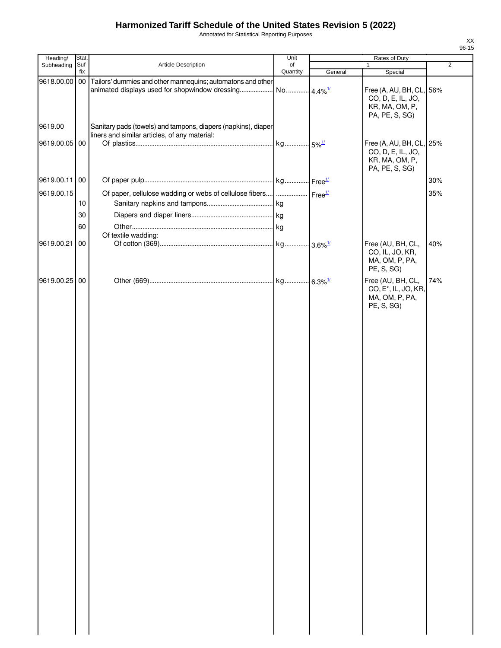Annotated for Statistical Reporting Purposes

|       | xх |  |
|-------|----|--|
| 96-15 |    |  |

| Heading/      | Stat.           |                                                                                                                | Unit                  |         |                                                                                       |                |
|---------------|-----------------|----------------------------------------------------------------------------------------------------------------|-----------------------|---------|---------------------------------------------------------------------------------------|----------------|
| Subheading    | Suf-<br>fix     | Article Description                                                                                            | of<br>Quantity        |         | $\mathbf{1}$                                                                          | $\overline{2}$ |
| 9618.00.00    | 00 <sub>0</sub> | Tailors' dummies and other mannequins; automatons and other<br>animated displays used for shopwindow dressing  | No 4.4% <sup>1/</sup> | General | Special<br>Free (A, AU, BH, CL, 56%<br>CO, D, E, IL, JO,<br>KR, MA, OM, P,            |                |
| 9619.00       |                 | Sanitary pads (towels) and tampons, diapers (napkins), diaper<br>liners and similar articles, of any material: |                       |         | PA, PE, S, SG)                                                                        |                |
| 9619.00.05 00 |                 |                                                                                                                |                       |         | Free (A, AU, BH, CL, 25%<br>CO, D, E, IL, JO,<br>KR, MA, OM, P,<br>PA, PE, S, SG)     |                |
| 9619.00.11 00 |                 |                                                                                                                |                       |         |                                                                                       | 30%            |
| 9619.00.15    |                 | Of paper, cellulose wadding or webs of cellulose fibers      Free <sup>1/</sup>                                |                       |         |                                                                                       | 35%            |
|               | 10              |                                                                                                                |                       |         |                                                                                       |                |
|               | 30              |                                                                                                                |                       |         |                                                                                       |                |
|               | 60              |                                                                                                                |                       |         |                                                                                       |                |
|               |                 | Of textile wadding:                                                                                            |                       |         |                                                                                       |                |
| 9619.00.21    | 00              |                                                                                                                |                       |         | Free (AU, BH, CL,<br>CO, IL, JO, KR,<br>MA, OM, P, PA,<br>PE, S, SG)                  | 40%            |
| 9619.00.25 00 |                 |                                                                                                                |                       |         | Free (AU, BH, CL,<br>CO, E <sup>*</sup> , IL, JO, KR,<br>MA, OM, P, PA,<br>PE, S, SG) | 74%            |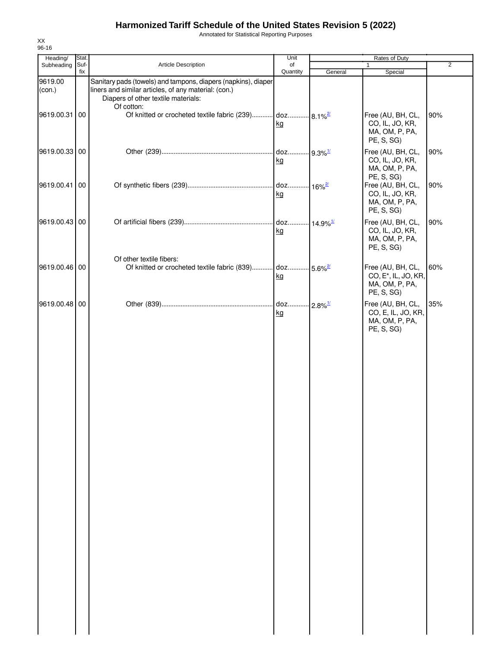Annotated for Statistical Reporting Purposes

| Heading/          | Stat.       |                                                                                                                                                                            | Unit           |         | Rates of Duty                                                                         |                |
|-------------------|-------------|----------------------------------------------------------------------------------------------------------------------------------------------------------------------------|----------------|---------|---------------------------------------------------------------------------------------|----------------|
| Subheading        | Suf-<br>fix | Article Description                                                                                                                                                        | of<br>Quantity | General | $\mathbf{1}$<br>Special                                                               | $\overline{2}$ |
| 9619.00<br>(con.) |             | Sanitary pads (towels) and tampons, diapers (napkins), diaper<br>liners and similar articles, of any material: (con.)<br>Diapers of other textile materials:<br>Of cotton: |                |         |                                                                                       |                |
| 9619.00.31 00     |             | Of knitted or crocheted textile fabric (239) doz 8.1% <sup>2/</sup>                                                                                                        | kg             |         | Free (AU, BH, CL,<br>CO, IL, JO, KR,<br>MA, OM, P, PA,<br>PE, S, SG)                  | 90%            |
| 9619.00.33 00     |             |                                                                                                                                                                            | kg             |         | Free (AU, BH, CL,<br>CO, IL, JO, KR,<br>MA, OM, P, PA,<br>PE, S, SG)                  | 90%            |
| 9619.00.41 00     |             |                                                                                                                                                                            | kg             |         | Free (AU, BH, CL,<br>CO, IL, JO, KR,<br>MA, OM, P, PA,<br>PE, S, SG)                  | 90%            |
| 9619.00.43 00     |             |                                                                                                                                                                            | kg             |         | Free (AU, BH, CL,<br>CO, IL, JO, KR,<br>MA, OM, P, PA,<br>PE, S, SG)                  | 90%            |
| 9619.00.46 00     |             | Of other textile fibers:<br>Of knitted or crocheted textile fabric (839) doz 5.6% <sup>2/</sup>                                                                            | kg             |         | Free (AU, BH, CL,<br>CO, E <sup>*</sup> , IL, JO, KR,<br>MA, OM, P, PA,<br>PE, S, SG) | 60%            |
| 9619.00.48 00     |             |                                                                                                                                                                            | kg             |         | Free (AU, BH, CL,<br>CO, E, IL, JO, KR,<br>MA, OM, P, PA,<br>PE, S, SG)               | 35%            |
|                   |             |                                                                                                                                                                            |                |         |                                                                                       |                |
|                   |             |                                                                                                                                                                            |                |         |                                                                                       |                |
|                   |             |                                                                                                                                                                            |                |         |                                                                                       |                |
|                   |             |                                                                                                                                                                            |                |         |                                                                                       |                |
|                   |             |                                                                                                                                                                            |                |         |                                                                                       |                |
|                   |             |                                                                                                                                                                            |                |         |                                                                                       |                |
|                   |             |                                                                                                                                                                            |                |         |                                                                                       |                |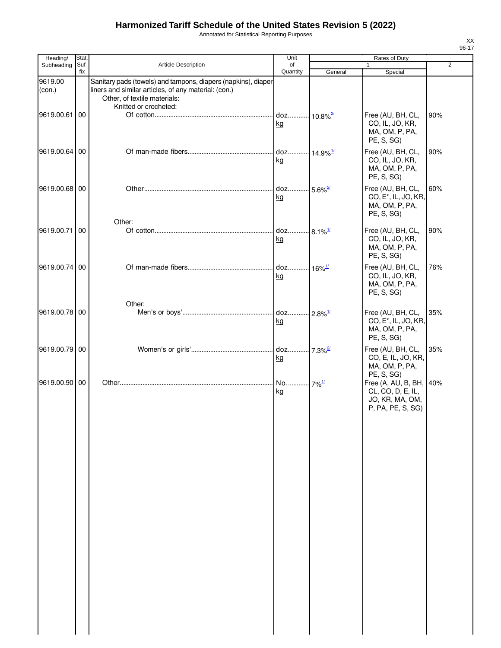Annotated for Statistical Reporting Purposes

| Heading/          | Stat.       |                                                                                                                                                       | Unit                                |         | Rates of Duty                                                                         |                |
|-------------------|-------------|-------------------------------------------------------------------------------------------------------------------------------------------------------|-------------------------------------|---------|---------------------------------------------------------------------------------------|----------------|
| Subheading        | Suf-<br>fix | Article Description                                                                                                                                   | of<br>Quantity                      | General | $\mathbf{1}$<br>Special                                                               | $\overline{2}$ |
| 9619.00<br>(con.) |             | Sanitary pads (towels) and tampons, diapers (napkins), diaper<br>liners and similar articles, of any material: (con.)<br>Other, of textile materials: |                                     |         |                                                                                       |                |
| 9619.00.61 00     |             | Knitted or crocheted:                                                                                                                                 | doz 10.8% <sup>2/</sup><br>kg       |         | Free (AU, BH, CL,<br>CO, IL, JO, KR,<br>MA, OM, P, PA,<br>PE, S, SG)                  | 90%            |
| 9619.00.64 00     |             |                                                                                                                                                       | doz 14.9% <sup>1/</sup><br>kg       |         | Free (AU, BH, CL,<br>CO, IL, JO, KR,<br>MA, OM, P, PA,<br>PE, S, SG)                  | 90%            |
| 9619.00.68 00     |             |                                                                                                                                                       | doz 5.6% <sup>2/</sup><br>kg        |         | Free (AU, BH, CL,<br>CO, E <sup>*</sup> , IL, JO, KR,<br>MA, OM, P, PA,<br>PE, S, SG) | 60%            |
| 9619.00.71        | 00          | Other:                                                                                                                                                | doz 8.1% <sup>1/</sup><br><u>kg</u> |         | Free (AU, BH, CL,<br>CO, IL, JO, KR,<br>MA, OM, P, PA,<br>PE, S, SG)                  | 90%            |
| 9619.00.74 00     |             |                                                                                                                                                       | doz 16% <sup>1/</sup><br>kg         |         | Free (AU, BH, CL,<br>CO, IL, JO, KR,<br>MA, OM, P, PA,<br>PE, S, SG)                  | 76%            |
| 9619.00.78 00     |             | Other:                                                                                                                                                | kg                                  |         | Free (AU, BH, CL,<br>CO, E <sup>*</sup> , IL, JO, KR,<br>MA, OM, P, PA,<br>PE, S, SG) | 35%            |
| 9619.00.79 00     |             |                                                                                                                                                       | kg                                  |         | Free (AU, BH, CL,<br>CO, E, IL, JO, KR,<br>MA, OM, P, PA,<br>PE, S, SG)               | 35%            |
| 9619.00.90 00     |             |                                                                                                                                                       | No 7% <sup>1/</sup><br>kg           |         | Free (A, AU, B, BH, 40%<br>CL, CO, D, E, IL,<br>JO, KR, MA, OM,<br>P, PA, PE, S, SG)  |                |
|                   |             |                                                                                                                                                       |                                     |         |                                                                                       |                |
|                   |             |                                                                                                                                                       |                                     |         |                                                                                       |                |
|                   |             |                                                                                                                                                       |                                     |         |                                                                                       |                |
|                   |             |                                                                                                                                                       |                                     |         |                                                                                       |                |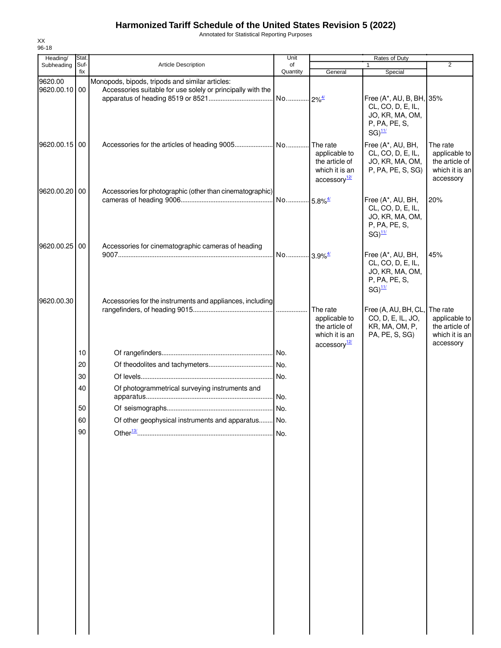Annotated for Statistical Reporting Purposes

| Heading/                 | Stat.       |                                                                                                                | Unit                  | Rates of Duty                                                                             |                                                                                                    |                                                                            |
|--------------------------|-------------|----------------------------------------------------------------------------------------------------------------|-----------------------|-------------------------------------------------------------------------------------------|----------------------------------------------------------------------------------------------------|----------------------------------------------------------------------------|
| Subheading               | Suf-<br>fix | <b>Article Description</b>                                                                                     | of<br>Quantity        | General                                                                                   | 1<br>Special                                                                                       | $\overline{2}$                                                             |
| 9620.00<br>9620.00.10 00 |             | Monopods, bipods, tripods and similar articles:<br>Accessories suitable for use solely or principally with the |                       |                                                                                           | Free (A*, AU, B, BH, 35%<br>CL, CO, D, E, IL,<br>JO, KR, MA, OM,<br>P, PA, PE, S,<br>$SG)^{11/2}$  |                                                                            |
| 9620.00.15 00            |             |                                                                                                                |                       | The rate<br>applicable to<br>the article of<br>which it is an<br>accessory <sup>12/</sup> | Free (A*, AU, BH,<br>CL, CO, D, E, IL,<br>JO, KR, MA, OM,<br>P, PA, PE, S, SG)                     | The rate<br>applicable to<br>the article of<br>which it is an<br>accessory |
| 9620.00.20               | 00          | Accessories for photographic (other than cinematographic)                                                      |                       |                                                                                           | Free (A*, AU, BH,<br>CL, CO, D, E, IL,<br>JO, KR, MA, OM,<br>P, PA, PE, S,<br>$SG)$ <sup>11/</sup> | 20%                                                                        |
| 9620.00.25 00            |             | Accessories for cinematographic cameras of heading                                                             | No 3.9% <sup>4/</sup> |                                                                                           | Free (A*, AU, BH,<br>CL, CO, D, E, IL,<br>JO, KR, MA, OM,<br>P, PA, PE, S,<br>$SG)^{11/2}$         | 45%                                                                        |
| 9620.00.30               |             | Accessories for the instruments and appliances, including                                                      |                       | The rate<br>applicable to<br>the article of<br>which it is an<br>accessory <sup>12/</sup> | Free (A, AU, BH, CL,<br>CO, D, E, IL, JO,<br>KR, MA, OM, P,<br>PA, PE, S, SG)                      | The rate<br>applicable to<br>the article of<br>which it is an<br>accessory |
|                          | 10          |                                                                                                                |                       |                                                                                           |                                                                                                    |                                                                            |
|                          | 20          |                                                                                                                |                       |                                                                                           |                                                                                                    |                                                                            |
|                          | 30          |                                                                                                                | No.                   |                                                                                           |                                                                                                    |                                                                            |
|                          | 40          | Of photogrammetrical surveying instruments and                                                                 |                       |                                                                                           |                                                                                                    |                                                                            |
|                          | 50          |                                                                                                                |                       |                                                                                           |                                                                                                    |                                                                            |
|                          | 60          | Of other geophysical instruments and apparatus No.                                                             |                       |                                                                                           |                                                                                                    |                                                                            |
|                          | 90          |                                                                                                                |                       |                                                                                           |                                                                                                    |                                                                            |
|                          |             |                                                                                                                |                       |                                                                                           |                                                                                                    |                                                                            |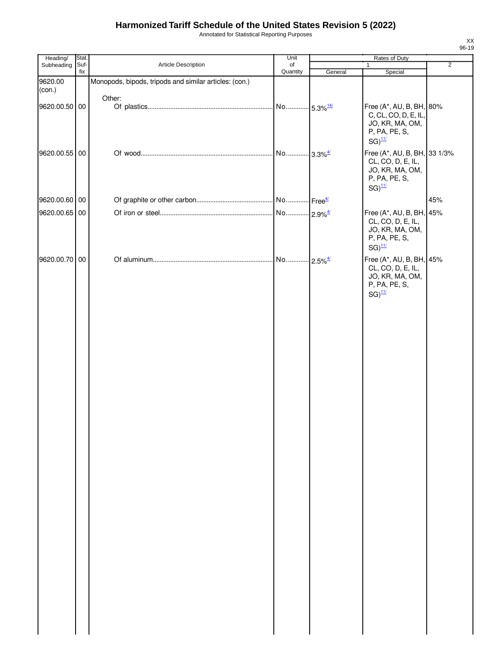Annotated for Statistical Reporting Purposes

| $\overline{2}$                                                       |
|----------------------------------------------------------------------|
|                                                                      |
|                                                                      |
|                                                                      |
| Free (A*, AU, B, BH, 80%<br>C, CL, CO, D, E, IL,<br>JO, KR, MA, OM,  |
| Free (A*, AU, B, BH, 33 1/3%<br>CL, CO, D, E, IL,<br>JO, KR, MA, OM, |
| 45%                                                                  |
| Free (A*, AU, B, BH, 45%<br>CL, CO, D, E, IL,<br>JO, KR, MA, OM,     |
| Free (A*, AU, B, BH, 45%<br>CL, CO, D, E, IL,<br>JO, KR, MA, OM,     |
|                                                                      |